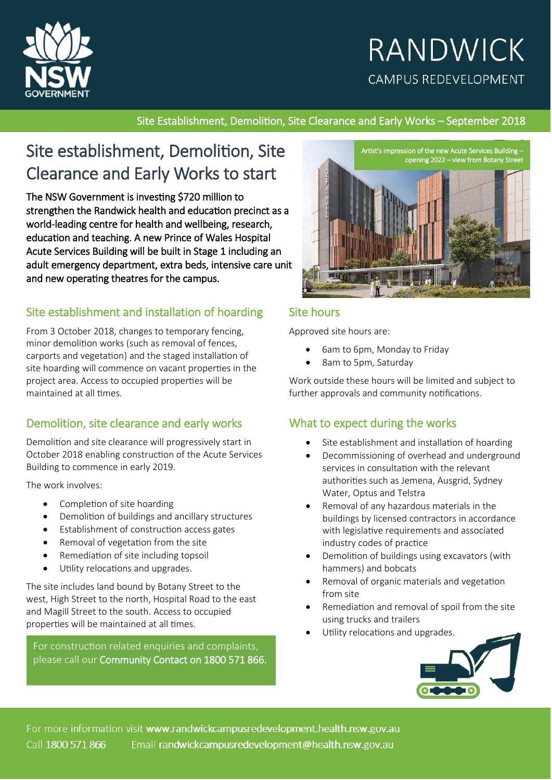

# **RANDWICK** CAMPUS REDEVELOPMENT

#### Site Establishment, Demolition, Site Clearance and Early Works – September 2018

# Site establishment, Demolition, Site Clearance and Early Works to start

The NSW Government is investing \$720 million to strengthen the Randwick health and education precinct as a world-leading centre for health and wellbeing, research, education and teaching. A new Prince of Wales Hospital Acute Services Building will be built in Stage 1 including an adult emergency department, extra beds, intensive care unit and new operating theatres for the campus.

### Site establishment and installation of hoarding

From 3 October 2018, changes to temporary fencing, minor demolition works (such as removal of fences, carports and vegetation) and the staged installation of site hoarding will commence on vacant properties in the project area. Access to occupied properties will be maintained at all times.

# Demolition, site clearance and early works

Demolition and site clearance will progressively start in October 2018 enabling construction of the Acute Services Building to commence in early 2019.

The work involves:

- Completion of site hoarding
- Demolition of buildings and ancillary structures
- Establishment of construction access gates
- Removal of vegetation from the site
- Remediation of site including topsoil
- $\bullet$  Utility relocations and upgrades.

The site includes land bound by Botany Street to the west, High Street to the north, Hospital Road to the east and Magill Street to the south. Access to occupied properties will be maintained at all times.

For construction related enquiries and complaints, please call our Community Contact on 1800 571 866.



#### Site hours

Approved site hours are:

- 6am to 6pm, Monday to Friday
- 8am to 5pm, Saturday

Work outside these hours will be limited and subject to further approvals and community notifications.

# What to expect during the works

- Site establishment and installation of hoarding
- Decommissioning of overhead and underground services in consultation with the relevant authorities such as Jemena, Ausgrid, Sydney Water, Optus and Telstra
- Removal of any hazardous materials in the buildings by licensed contractors in accordance with legislative requirements and associated industry codes of practice
- Demolition of buildings using excavators (with hammers) and bobcats
- Removal of organic materials and vegetation from site
- Remediation and removal of spoil from the site using trucks and trailers
- Utility relocations and upgrades.



For more information visit www.randwickcampusredevelopment.health.nsw.gov.au Call 1800 571 866 Email randwickcampusredevelopment@health.nsw.gov.au